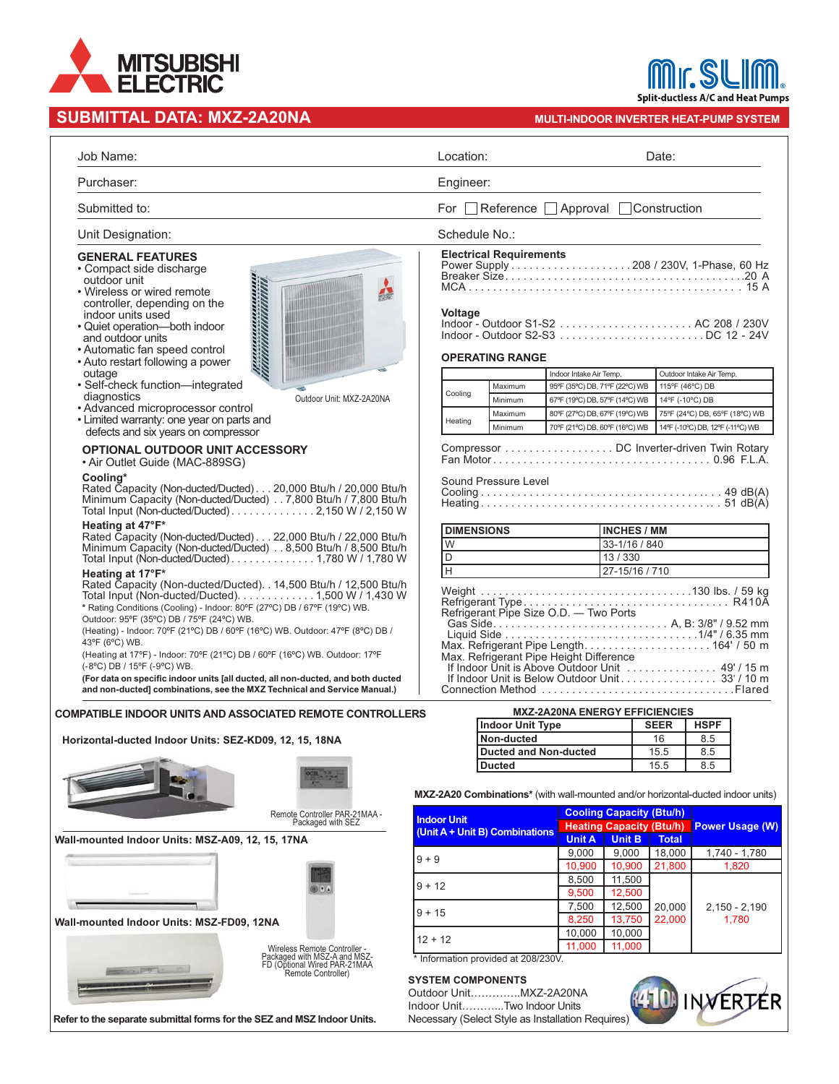

| Job Name:                                                                                                                                                                                                                                                                                                                                                                                                                                                                                                                                                  | Location:<br>Date:                                                                                                                                                                                |
|------------------------------------------------------------------------------------------------------------------------------------------------------------------------------------------------------------------------------------------------------------------------------------------------------------------------------------------------------------------------------------------------------------------------------------------------------------------------------------------------------------------------------------------------------------|---------------------------------------------------------------------------------------------------------------------------------------------------------------------------------------------------|
| Purchaser:                                                                                                                                                                                                                                                                                                                                                                                                                                                                                                                                                 | Engineer:                                                                                                                                                                                         |
| Submitted to:                                                                                                                                                                                                                                                                                                                                                                                                                                                                                                                                              | For Reference Approval Construction                                                                                                                                                               |
| Unit Designation:                                                                                                                                                                                                                                                                                                                                                                                                                                                                                                                                          | Schedule No.:                                                                                                                                                                                     |
| <b>GENERAL FEATURES</b><br>• Compact side discharge<br>outdoor unit<br>alinin mashrida<br>1999 - Parth Indian Indian<br>• Wireless or wired remote<br>controller, depending on the<br>indoor units used<br>· Quiet operation-both indoor<br>and outdoor units<br>• Automatic fan speed control<br>• Auto restart following a power<br>outage<br>· Self-check function-integrated                                                                                                                                                                           | <b>Electrical Requirements</b><br><b>Voltage</b><br><b>OPERATING RANGE</b><br>Outdoor Intake Air Temp.<br>Indoor Intake Air Temp.<br>Maximum<br>95°F (35°C) DB, 71°F (22°C) WB<br>115°F (46°C) DB |
| diagnostics<br>Outdoor Unit: MXZ-2A20NA                                                                                                                                                                                                                                                                                                                                                                                                                                                                                                                    | Cooling<br>Minimum<br>67°F (19°C) DB, 57°F (14°C) WB<br>14°F (-10°C) DB                                                                                                                           |
| • Advanced microprocessor control<br>• Limited warranty: one year on parts and                                                                                                                                                                                                                                                                                                                                                                                                                                                                             | 75°F (24°C) DB, 65°F (18°C) WB<br>Maximum<br>80°F (27°C) DB, 67°F (19°C) WB                                                                                                                       |
| defects and six years on compressor                                                                                                                                                                                                                                                                                                                                                                                                                                                                                                                        | Heating<br>Minimum<br>70°F (21°C) DB, 60°F (16°C) WB<br>14°F (-10°C) DB, 12°F (-11°C) WB                                                                                                          |
| OPTIONAL OUTDOOR UNIT ACCESSORY<br>• Air Outlet Guide (MAC-889SG)<br>Cooling*<br>Rated Capacity (Non-ducted/Ducted)20,000 Btu/h / 20,000 Btu/h<br>Minimum Capacity (Non-ducted/Ducted) 7,800 Btu/h / 7,800 Btu/h<br>Total Input (Non-ducted/Ducted) 2,150 W / 2,150 W<br>Heating at 47°F*                                                                                                                                                                                                                                                                  | Compressor DC Inverter-driven Twin Rotary<br>Sound Pressure Level                                                                                                                                 |
| Rated Capacity (Non-ducted/Ducted)22,000 Btu/h / 22,000 Btu/h                                                                                                                                                                                                                                                                                                                                                                                                                                                                                              | <b>DIMENSIONS</b><br><b>INCHES / MM</b>                                                                                                                                                           |
| Minimum Capacity (Non-ducted/Ducted) 8,500 Btu/h / 8,500 Btu/h                                                                                                                                                                                                                                                                                                                                                                                                                                                                                             | W<br>33-1/16 / 840                                                                                                                                                                                |
| Total Input (Non-ducted/Ducted) 1,780 W / 1,780 W                                                                                                                                                                                                                                                                                                                                                                                                                                                                                                          | D<br>13/330<br>$\overline{H}$<br>27-15/16 / 710                                                                                                                                                   |
| Total Input (Non-ducted/Ducted). 1,500 W / 1,430 W<br>* Rating Conditions (Cooling) - Indoor: 80°F (27°C) DB / 67°F (19°C) WB.<br>Outdoor: 95°F (35°C) DB / 75°F (24°C) WB.<br>(Heating) - Indoor: 70°F (21°C) DB / 60°F (16°C) WB. Outdoor: 47°F (8°C) DB /<br>43°F (6°C) WB.<br>(Heating at 17°F) - Indoor: 70°F (21°C) DB / 60°F (16°C) WB. Outdoor: 17°F<br>(-8°C) DB / 15°F (-9°C) WB.<br>(For data on specific indoor units [all ducted, all non-ducted, and both ducted<br>and non-ducted] combinations, see the MXZ Technical and Service Manual.) | Refrigerant Pipe Size O.D. - Two Ports<br>Max. Refrigerant Pipe Height Difference<br>If Indoor Unit is Below Outdoor Unit. 33' / 10 m<br>Connection Method Flared                                 |
| <b>COMPATIBLE INDOOR UNITS AND ASSOCIATED REMOTE CONTROLLERS</b>                                                                                                                                                                                                                                                                                                                                                                                                                                                                                           | <b>MXZ-2A20NA ENERGY EFFICIENCIES</b>                                                                                                                                                             |
|                                                                                                                                                                                                                                                                                                                                                                                                                                                                                                                                                            | <b>Indoor Unit Type</b><br><b>SEER</b><br><b>HSPF</b>                                                                                                                                             |
| Horizontal-ducted Indoor Units: SEZ-KD09, 12, 15, 18NA                                                                                                                                                                                                                                                                                                                                                                                                                                                                                                     | Non-ducted<br>16<br>8.5                                                                                                                                                                           |
|                                                                                                                                                                                                                                                                                                                                                                                                                                                                                                                                                            | <b>Ducted and Non-ducted</b><br>15.5<br>8.5                                                                                                                                                       |
|                                                                                                                                                                                                                                                                                                                                                                                                                                                                                                                                                            | 15.5<br>8.5<br><b>Ducted</b>                                                                                                                                                                      |
|                                                                                                                                                                                                                                                                                                                                                                                                                                                                                                                                                            | MXZ-2A20 Combinations* (with wall-mounted and/or horizontal-ducted indoor units)                                                                                                                  |
| Remote Controller PAR-21MAA -                                                                                                                                                                                                                                                                                                                                                                                                                                                                                                                              | <b>Cooling Capacity (Btu/h)</b><br><b>Indoor Unit</b>                                                                                                                                             |
| Packaged with SEZ                                                                                                                                                                                                                                                                                                                                                                                                                                                                                                                                          | <b>Heating Capacity (Btu/h)</b><br><b>Power Usage (W)</b><br>(Unit A + Unit B) Combinations                                                                                                       |
| Wall-mounted Indoor Units: MSZ-A09, 12, 15, 17NA                                                                                                                                                                                                                                                                                                                                                                                                                                                                                                           | <b>Unit B</b><br><b>Unit A</b><br><b>Total</b>                                                                                                                                                    |
|                                                                                                                                                                                                                                                                                                                                                                                                                                                                                                                                                            | 9,000<br>9,000<br>18,000<br>1,740 - 1,780<br>$9 + 9$<br>10,900<br>10,900<br>21.800<br>1,820                                                                                                       |
|                                                                                                                                                                                                                                                                                                                                                                                                                                                                                                                                                            | 8,500<br>11,500                                                                                                                                                                                   |
|                                                                                                                                                                                                                                                                                                                                                                                                                                                                                                                                                            | $9 + 12$<br>9,500<br>12,500                                                                                                                                                                       |
|                                                                                                                                                                                                                                                                                                                                                                                                                                                                                                                                                            | 7,500<br>12,500<br>20,000<br>$2,150 - 2,190$                                                                                                                                                      |
| Wall-mounted Indoor Units: MSZ-FD09, 12NA                                                                                                                                                                                                                                                                                                                                                                                                                                                                                                                  | $9 + 15$<br>22,000<br>1,780<br>8,250<br>13.750                                                                                                                                                    |
|                                                                                                                                                                                                                                                                                                                                                                                                                                                                                                                                                            | 10,000<br>10,000<br>$12 + 12$                                                                                                                                                                     |
|                                                                                                                                                                                                                                                                                                                                                                                                                                                                                                                                                            | 11,000<br>11,000<br>* Information provided at 208/230V.                                                                                                                                           |
| Wireless Remote Controller -<br>Packaged with MSZ-A and MSZ-<br>FD (Optional Wired PAR-21MAA<br>Remote Controller)                                                                                                                                                                                                                                                                                                                                                                                                                                         | <b>SYSTEM COMPONENTS</b><br>Outdoor UnitMXZ-2A20NA<br>INNERTÉR                                                                                                                                    |
|                                                                                                                                                                                                                                                                                                                                                                                                                                                                                                                                                            | Indoor UnitTwo Indoor Units                                                                                                                                                                       |
| Refer to the separate submittal forms for the SEZ and MSZ Indoor Units.                                                                                                                                                                                                                                                                                                                                                                                                                                                                                    | Necessary (Select Style as Installation Requires)                                                                                                                                                 |